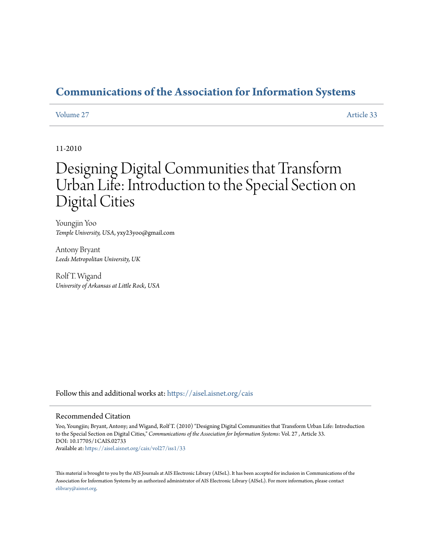# **[Communications of the Association for Information Systems](https://aisel.aisnet.org/cais?utm_source=aisel.aisnet.org%2Fcais%2Fvol27%2Fiss1%2F33&utm_medium=PDF&utm_campaign=PDFCoverPages)**

## [Volume 27](https://aisel.aisnet.org/cais/vol27?utm_source=aisel.aisnet.org%2Fcais%2Fvol27%2Fiss1%2F33&utm_medium=PDF&utm_campaign=PDFCoverPages) [Article 33](https://aisel.aisnet.org/cais/vol27/iss1/33?utm_source=aisel.aisnet.org%2Fcais%2Fvol27%2Fiss1%2F33&utm_medium=PDF&utm_campaign=PDFCoverPages)

11-2010

# Designing Digital Communities that Transform Urban Life: Introduction to the Special Section on Digital Cities

Youngjin Yoo *Temple University, USA*, yxy23yoo@gmail.com

Antony Bryant *Leeds Metropolitan University, UK*

Rolf T. Wigand *University of Arkansas at Little Rock, USA*

Follow this and additional works at: [https://aisel.aisnet.org/cais](https://aisel.aisnet.org/cais?utm_source=aisel.aisnet.org%2Fcais%2Fvol27%2Fiss1%2F33&utm_medium=PDF&utm_campaign=PDFCoverPages)

#### Recommended Citation

Yoo, Youngjin; Bryant, Antony; and Wigand, Rolf T. (2010) "Designing Digital Communities that Transform Urban Life: Introduction to the Special Section on Digital Cities," *Communications of the Association for Information Systems*: Vol. 27 , Article 33. DOI: 10.17705/1CAIS.02733 Available at: [https://aisel.aisnet.org/cais/vol27/iss1/33](https://aisel.aisnet.org/cais/vol27/iss1/33?utm_source=aisel.aisnet.org%2Fcais%2Fvol27%2Fiss1%2F33&utm_medium=PDF&utm_campaign=PDFCoverPages)

This material is brought to you by the AIS Journals at AIS Electronic Library (AISeL). It has been accepted for inclusion in Communications of the Association for Information Systems by an authorized administrator of AIS Electronic Library (AISeL). For more information, please contact [elibrary@aisnet.org.](mailto:elibrary@aisnet.org%3E)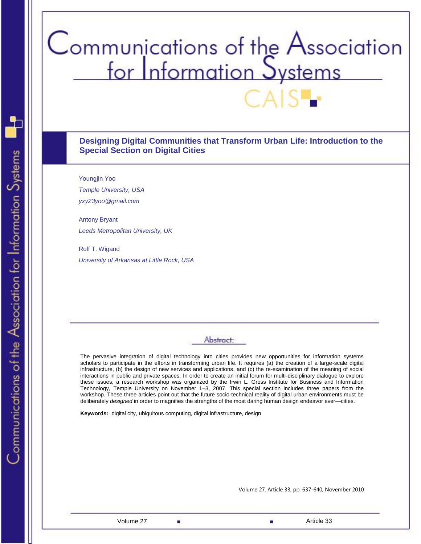# Communications of the Association<br>for Information Systems

**Designing Digital Communities that Transform Urban Life: Introduction to the Special Section on Digital Cities**

Youngjin Yoo *Temple University, USA yxy23yoo@gmail.com*

Antony Bryant *Leeds Metropolitan University, UK*

Rolf T. Wigand *University of Arkansas at Little Rock, USA*

# Abstract:

The pervasive integration of digital technology into cities provides new opportunities for information systems scholars to participate in the efforts in transforming urban life. It requires (a) the creation of a large-scale digital infrastructure, (b) the design of new services and applications. and (c) the re-examination of the meaning of social interactions in public and private spaces. In order to create an initial forum for multi-disciplinary dialogue to explore these issues, a research workshop was organized by the Irwin L. Gross Institute for Business and Information Technology, Temple University on November 1-3, 2007. This special section includes three papers from the workshop. These three articles point out that the future socio-technical reality of digital urban environments must be workshop. These three articles point out that the future socio-technical reality of digital urban environments must<br>deliberately *designed* in order to magnifies the strengths of the most daring human design endeavor ever ve integration of digital technology into cities provides new opportunities for information sparticipate in the efforts in transforming urban life. It requires (a) the creation of a large-scale, (b) the design of new servi

Keywords: digital city, ubiquitous computing, digital infrastructure, design

Volume 27, Article 33, pp. 637-640, November 2010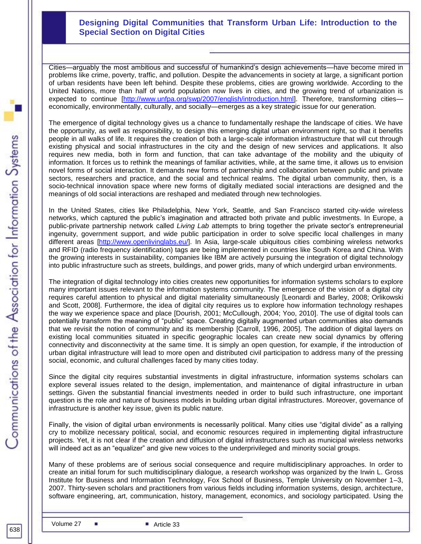# **Designing Digital Communities that Transform Urban Life: Introduction to the Special Section on Digital Cities**

Cities—arguably the most ambitious and successful of humankind's design achievements—have become mired in problems like crime, poverty, traffic, and pollution. Despite the advancements in society at large, a significant portion of urban residents have been left behind. Despite these problems, cities are growing worldwide. According to the United Nations, more than half of world population now lives in cities, and the growing trend of urbanization is expected to continue [\[http://www.unfpa.org/swp/2007/english/introduction.html\]](http://www.unfpa.org/swp/2007/english/introduction.html). Therefore, transforming cities economically, environmentally, culturally, and socially—emerges as a key strategic issue for our generation.

The emergence of digital technology gives us a chance to fundamentally reshape the landscape of cities. We have the opportunity, as well as responsibility, to design this emerging digital urban environment right, so that it benefits people in all walks of life. It requires the creation of both a large-scale information infrastructure that will cut through existing physical and social infrastructures in the city and the design of new services and applications. It also requires new media, both in form and function, that can take advantage of the mobility and the ubiquity of information. It forces us to rethink the meanings of familiar activities, while, at the same time, it allows us to envision novel forms of social interaction. It demands new forms of partnership and collaboration between public and private sectors, researchers and practice, and the social and technical realms. The digital urban community, then, is a socio-technical innovation space where new forms of digitally mediated social interactions are designed and the meanings of old social interactions are reshaped and mediated through new technologies.

In the United States, cities like Philadelphia, New York, Seattle, and San Francisco started city-wide wireless networks, which captured the public's imagination and attracted both private and public investments. In Europe, a public-private partnership network called *Living Lab* attempts to bring together the private sector's entrepreneurial ingenuity, government support, and wide public participation in order to solve specific local challenges in many different areas [\[http://www.openlivinglabs.eu/\]](http://www.openlivinglabs.eu/). In Asia, large-scale ubiquitous cities combining wireless networks and RFID (radio frequency identification) tags are being implemented in countries like South Korea and China. With the growing interests in sustainability, companies like IBM are actively pursuing the integration of digital technology into public infrastructure such as streets, buildings, and power grids, many of which undergird urban environments.

The integration of digital technology into cities creates new opportunities for information systems scholars to explore many important issues relevant to the information systems community. The emergence of the vision of a digital city requires careful attention to physical and digital materiality simultaneously [Leonardi and Barley, 2008; Orlikowski and Scott, 2008]. Furthermore, the idea of digital city requires us to explore how information technology reshapes the way we experience space and place [Dourish, 2001; McCullough, 2004; Yoo, 2010]. The use of digital tools can potentially transform the meaning of "public" space. Creating digitally augmented urban communities also demands that we revisit the notion of community and its membership [Carroll, 1996, 2005]. The addition of digital layers on existing local communities situated in specific geographic locales can create new social dynamics by offering connectivity and disconnectivity at the same time. It is simply an open question, for example, if the introduction of urban digital infrastructure will lead to more open and distributed civil participation to address many of the pressing social, economic, and cultural challenges faced by many cities today.

Since the digital city requires substantial investments in digital infrastructure, information systems scholars can explore several issues related to the design, implementation, and maintenance of digital infrastructure in urban settings. Given the substantial financial investments needed in order to build such infrastructure, one important question is the role and nature of business models in building urban digital infrastructures. Moreover, governance of infrastructure is another key issue, given its public nature.

Finally, the vision of digital urban environments is necessarily political. Many cities use "digital divide" as a rallying cry to mobilize necessary political, social, and economic resources required in implementing digital infrastructure projects. Yet, it is not clear if the creation and diffusion of digital infrastructures such as municipal wireless networks will indeed act as an "equalizer" and give new voices to the underprivileged and minority social groups.

many of these presisting are or senece seeds. Senece and regard mattacomplinary approaches in stast to create an initial forum for such multidisciplinary dialogue, a research workshop was organized by the Irwin L. Gross Institute for Business and Information Technology, Fox School of Business, Temple University on November 1-3, Many of these problems are of serious social consequence and require multidisciplinary approaches. In order to 2007. Thirty-seven scholars and practitioners from various fields including information systems, design, architecture, software engineering, art, communication, history, management, economics, and sociology participated. Using the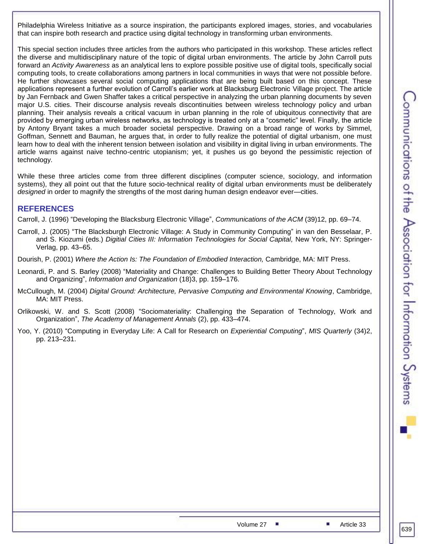Philadelphia Wireless Initiative as a source inspiration, the participants explored images, stories, and vocabularies that can inspire both research and practice using digital technology in transforming urban environments.

This special section includes three articles from the authors who participated in this workshop. These articles reflect the diverse and multidisciplinary nature of the topic of digital urban environments. The article by John Carroll puts forward an *Activity Awareness* as an analytical lens to explore possible positive use of digital tools, specifically social computing tools, to create collaborations among partners in local communities in ways that were not possible before. He further showcases several social computing applications that are being built based on this concept. These applications represent a further evolution of Carroll's earlier work at Blacksburg Electronic Village project. The article by Jan Fernback and Gwen Shaffer takes a critical perspective in analyzing the urban planning documents by seven major U.S. cities. Their discourse analysis reveals discontinuities between wireless technology policy and urban planning. Their analysis reveals a critical vacuum in urban planning in the role of ubiquitous connectivity that are provided by emerging urban wireless networks, as technology is treated only at a "cosmetic" level. Finally, the article by Antony Bryant takes a much broader societal perspective. Drawing on a broad range of works by Simmel, Goffman, Sennett and Bauman, he argues that, in order to fully realize the potential of digital urbanism, one must learn how to deal with the inherent tension between isolation and visibility in digital living in urban environments. The article warns against naive techno-centric utopianism; yet, it pushes us go beyond the pessimistic rejection of technology.

While these three articles come from three different disciplines (computer science, sociology, and information systems), they all point out that the future socio-technical reality of digital urban environments must be deliberately *designed* in order to magnify the strengths of the most daring human design endeavor ever—cities.

# **REFERENCES**

Carroll, J. (1996) "Developing the Blacksburg Electronic Village", *Communications of the ACM* (39)12, pp. 69–74.

- Carroll, J. (2005) "The Blacksburgh Electronic Village: A Study in Community Computing" in van den Besselaar, P. and S. Kiozumi (eds.) *Digitial Cities III: Information Technologies for Social Capital,* New York, NY: Springer-Verlag, pp. 43–65.
- Dourish, P. (2001) *Where the Action Is: The Foundation of Embodied Interaction,* Cambridge, MA: MIT Press.
- Leonardi, P. and S. Barley (2008) "Materiality and Change: Challenges to Building Better Theory About Technology and Organizing‖, *Information and Organization* (18)3, pp. 159–176.
- McCullough, M. (2004) *Digital Ground: Architecture, Pervasive Computing and Environmental Knowing*, Cambridge, MA: MIT Press.
- Orlikowski, W. and S. Scott (2008) "Sociomateriality: Challenging the Separation of Technology, Work and Organization‖, *The Academy of Management Annals* (2), pp. 433–474.
- Yoo, Y. (2010) "Computing in Everyday Life: A Call for Research on *Experiential Computing*", *MIS Quarterly* (34)2, pp. 213–231.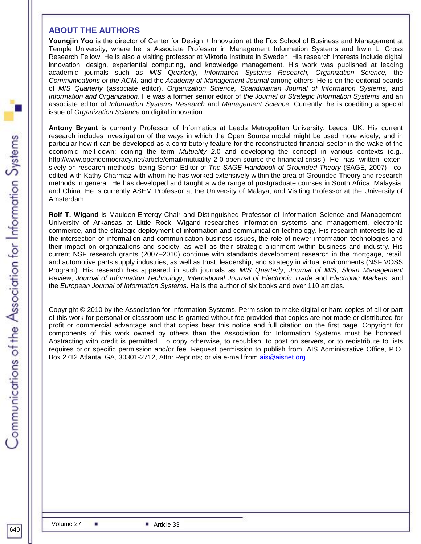## **ABOUT THE AUTHORS**

**Youngjin Yoo** is the director of Center for Design + Innovation at the Fox School of Business and Management at Temple University, where he is Associate Professor in Management Information Systems and Irwin L. Gross Research Fellow. He is also a visiting professor at Viktoria Institute in Sweden. His research interests include digital innovation, design, experiential computing, and knowledge management. His work was published at leading academic journals such as *MIS Quarterly, Information Systems Research, Organization Science,* the *Communications of the ACM,* and the *Academy of Management Journal* among others. He is on the editorial boards of *MIS Quarterly* (associate editor), *Organization Science, Scandinavian Journal of Information Systems,* and *Information and Organization*. He was a former senior editor of *the Journal of Strategic Information Systems* and an associate editor of *Information Systems Research* and *Management Science*. Currently; he is coediting a special issue of *Organization Science* on digital innovation.

**Antony Bryant** is currently Professor of Informatics at Leeds Metropolitan University, Leeds, UK. His current research includes investigation of the ways in which the Open Source model might be used more widely, and in particular how it can be developed as a contributory feature for the reconstructed financial sector in the wake of the economic melt-down; coining the term *Mutuality 2.*0 and developing the concept in various contexts (e.g., [http://www.opendemocracy.net/article/email/mutuality-2-0-open-source-the-financial-crisis.](http://www.opendemocracy.net/article/email/mutuality-2-0-open-source-the-financial-crisis)) He has written extensively on research methods, being Senior Editor of *The SAGE Handbook of Grounded Theory* (SAGE, 2007)—coedited with Kathy Charmaz with whom he has worked extensively within the area of Grounded Theory and research methods in general. He has developed and taught a wide range of postgraduate courses in South Africa, Malaysia, and China. He is currently ASEM Professor at the University of Malaya, and Visiting Professor at the University of Amsterdam.

**Rolf T. Wigand** is Maulden-Entergy Chair and Distinguished Professor of Information Science and Management, University of Arkansas at Little Rock. Wigand researches information systems and management, electronic commerce, and the strategic deployment of information and communication technology. His research interests lie at the intersection of information and communication business issues, the role of newer information technologies and their impact on organizations and society, as well as their strategic alignment within business and industry. His current NSF research grants (2007–2010) continue with standards development research in the mortgage, retail, and automotive parts supply industries, as well as trust, leadership, and strategy in virtual environments (NSF VOSS Program). His research has appeared in such journals as *MIS Quarterly*, *Journal of MIS*, *Sloan Management Review*, *Journal of Information Technology*, *International Journal of Electronic Trade* and *Electronic Markets*, and the *European Journal of Information Systems*. He is the author of six books and over 110 articles.

Copyright © 2010 by the Association for Information Systems. Permission to make digital or hard copies of all or part of this work for personal or classroom use is granted without fee provided that copies are not made or distributed for profit or commercial advantage and that copies bear this notice and full citation on the first page. Copyright for components of this work owned by others than the Association for Information Systems must be honored. Abstracting with credit is permitted. To copy otherwise, to republish, to post on servers, or to redistribute to lists requires prior specific permission and/or fee. Request permission to publish from: AIS Administrative Office, P.O. Box 2712 Atlanta, GA, 30301-2712, Attn: Reprints; or via e-mail from [ais@aisnet.org.](mailto:ais@aisnet.org)